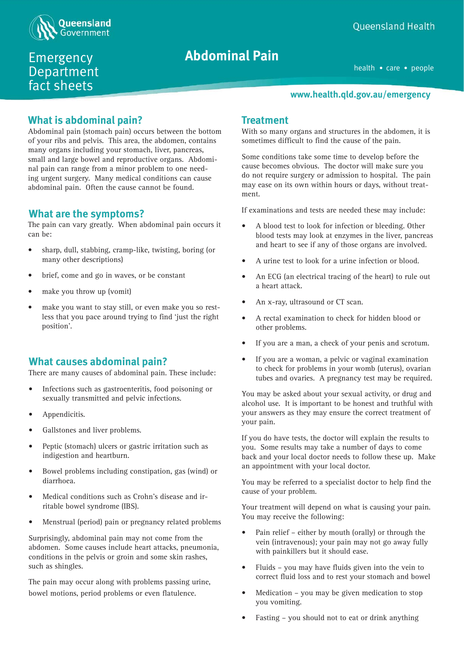

Emergency Department fact sheets

# **Seizure Abdominal Pain**

health • care • people

#### **www.health.qld.gov.au/emergency**

# **What is abdominal pain?**

Abdominal pain (stomach pain) occurs between the bottom of your ribs and pelvis. This area, the abdomen, contains many organs including your stomach, liver, pancreas, small and large bowel and reproductive organs. Abdominal pain can range from a minor problem to one needing urgent surgery. Many medical conditions can cause abdominal pain. Often the cause cannot be found.

# **What are the symptoms?**

The pain can vary greatly. When abdominal pain occurs it can be:

- sharp, dull, stabbing, cramp-like, twisting, boring (or many other descriptions)
- brief, come and go in waves, or be constant
- make you throw up (vomit)
- make you want to stay still, or even make you so restless that you pace around trying to find 'just the right position'.

# **What causes abdominal pain?**

There are many causes of abdominal pain. These include:

- Infections such as gastroenteritis, food poisoning or sexually transmitted and pelvic infections.
- Appendicitis.
- Gallstones and liver problems.
- Peptic (stomach) ulcers or gastric irritation such as indigestion and heartburn.
- Bowel problems including constipation, gas (wind) or diarrhoea.
- Medical conditions such as Crohn's disease and irritable bowel syndrome (IBS).
- Menstrual (period) pain or pregnancy related problems

Surprisingly, abdominal pain may not come from the abdomen. Some causes include heart attacks, pneumonia, conditions in the pelvis or groin and some skin rashes, such as shingles.

The pain may occur along with problems passing urine, bowel motions, period problems or even flatulence.

# **Treatment**

With so many organs and structures in the abdomen, it is sometimes difficult to find the cause of the pain.

Some conditions take some time to develop before the cause becomes obvious. The doctor will make sure you do not require surgery or admission to hospital. The pain may ease on its own within hours or days, without treatment.

If examinations and tests are needed these may include:

- A blood test to look for infection or bleeding. Other blood tests may look at enzymes in the liver, pancreas and heart to see if any of those organs are involved.
- A urine test to look for a urine infection or blood.
- An ECG (an electrical tracing of the heart) to rule out a heart attack.
- An x-ray, ultrasound or CT scan.
- A rectal examination to check for hidden blood or other problems.
- If you are a man, a check of your penis and scrotum.
- If you are a woman, a pelvic or vaginal examination to check for problems in your womb (uterus), ovarian tubes and ovaries. A pregnancy test may be required.

You may be asked about your sexual activity, or drug and alcohol use. It is important to be honest and truthful with your answers as they may ensure the correct treatment of your pain.

If you do have tests, the doctor will explain the results to you. Some results may take a number of days to come back and your local doctor needs to follow these up. Make an appointment with your local doctor.

You may be referred to a specialist doctor to help find the cause of your problem.

Your treatment will depend on what is causing your pain. You may receive the following:

- Pain relief either by mouth (orally) or through the vein (intravenous); your pain may not go away fully with painkillers but it should ease.
- Fluids you may have fluids given into the vein to correct fluid loss and to rest your stomach and bowel
- Medication you may be given medication to stop you vomiting.
- Fasting you should not to eat or drink anything